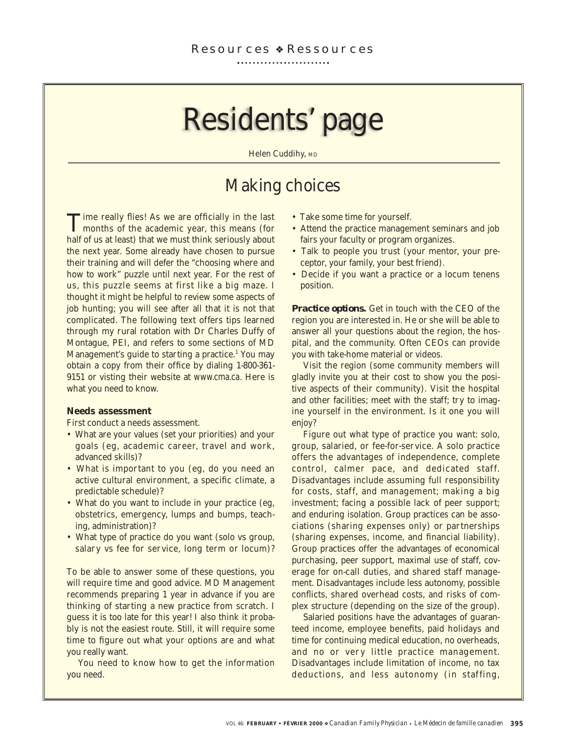# Residents' page

Helen Cuddihy, MD

## Making choices

Time really flies! As we are officially in the last months of the academic year, this means (for half of us at least) that we must think seriously about the next year. Some already have chosen to pursue their training and will defer the "choosing where and how to work" puzzle until next year. For the rest of us, this puzzle seems at first like a big maze. I thought it might be helpful to review some aspects of job hunting; you will see after all that it is not that complicated. The following text offers tips learned through my rural rotation with Dr Charles Duffy of Montague, PEI, and refers to some sections of MD Management's guide to starting a practice.<sup>1</sup> You may obtain a copy from their office by dialing 1-800-361- 9151 or visting their website at www.cma.ca. Here is what you need to know.

### **Needs assessment**

First conduct a needs assessment.

- What are your values (set your priorities) and your goals (eg, academic career, travel and work, advanced skills)?
- What is important to you (eg, do you need an active cultural environment, a specific climate, a predictable schedule)?
- What do you want to include in your practice (eg, obstetrics, emergency, lumps and bumps, teaching, administration)?
- What type of practice do you want (solo vs group, salary vs fee for service, long term or locum)?

To be able to answer some of these questions, you will require time and good advice. MD Management recommends preparing 1 year in advance if you are thinking of starting a new practice from scratch. I guess it is too late for this year! I also think it probably is not the easiest route. Still, it will require some time to figure out what your options are and what you really want.

You need to know how to get the information you need.

- Take some time for yourself.
- Attend the practice management seminars and job fairs your faculty or program organizes.
- Talk to people you trust (your mentor, your preceptor, your family, your best friend).
- Decide if you want a practice or a locum tenens position.

*Practice options.* Get in touch with the CEO of the region you are interested in. He or she will be able to answer all your questions about the region, the hospital, and the community. Often CEOs can provide you with take-home material or videos.

Visit the region (some community members will gladly invite you at their cost to show you the positive aspects of their community). Visit the hospital and other facilities; meet with the staff; try to imagine yourself in the environment. Is it one you will enjoy?

Figure out what type of practice you want: solo, group, salaried, or fee-for-service. A solo practice offers the advantages of independence, complete control, calmer pace, and dedicated staff. Disadvantages include assuming full responsibility for costs, staff, and management; making a big investment; facing a possible lack of peer support; and enduring isolation. Group practices can be associations (sharing expenses only) or partnerships (sharing expenses, income, and financial liability). Group practices offer the advantages of economical purchasing, peer support, maximal use of staff, coverage for on-call duties, and shared staff management. Disadvantages include less autonomy, possible conflicts, shared overhead costs, and risks of complex structure (depending on the size of the group).

Salaried positions have the advantages of guaranteed income, employee benefits, paid holidays and time for continuing medical education, no overheads, and no or very little practice management. Disadvantages include limitation of income, no tax deductions, and less autonomy (in staffing,